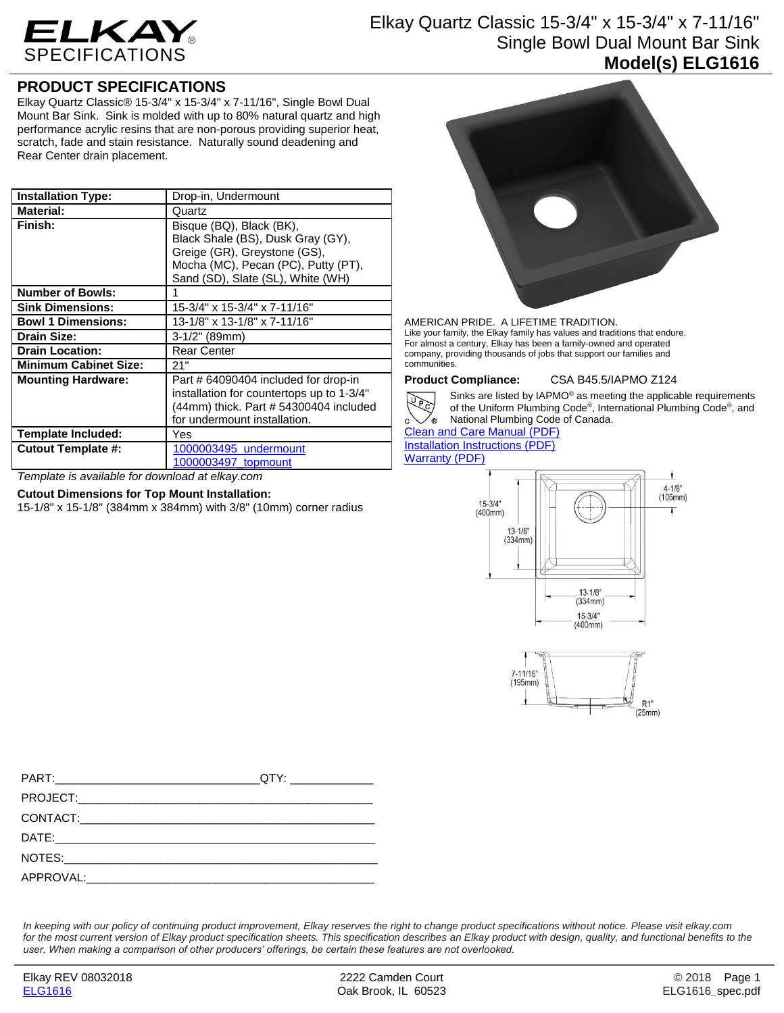

# Elkay Quartz Classic 15-3/4" x 15-3/4" x 7-11/16" Single Bowl Dual Mount Bar Sink **Model(s) ELG1616**

# **PRODUCT SPECIFICATIONS**

Elkay Quartz Classic® 15-3/4" x 15-3/4" x 7-11/16", Single Bowl Dual Mount Bar Sink. Sink is molded with up to 80% natural quartz and high performance acrylic resins that are non-porous providing superior heat, scratch, fade and stain resistance. Naturally sound deadening and Rear Center drain placement.

| <b>Installation Type:</b>    | Drop-in, Undermount                       |
|------------------------------|-------------------------------------------|
| <b>Material:</b>             | Quartz                                    |
| Finish:                      | Bisque (BQ), Black (BK),                  |
|                              | Black Shale (BS), Dusk Gray (GY),         |
|                              | Greige (GR), Greystone (GS),              |
|                              | Mocha (MC), Pecan (PC), Putty (PT),       |
|                              | Sand (SD), Slate (SL), White (WH)         |
| <b>Number of Bowls:</b>      |                                           |
| <b>Sink Dimensions:</b>      | 15-3/4" x 15-3/4" x 7-11/16"              |
| <b>Bowl 1 Dimensions:</b>    | 13-1/8" x 13-1/8" x 7-11/16"              |
| Drain Size:                  | $3-1/2$ " (89mm)                          |
| <b>Drain Location:</b>       | <b>Rear Center</b>                        |
| <b>Minimum Cabinet Size:</b> | 21"                                       |
| <b>Mounting Hardware:</b>    | Part # 64090404 included for drop-in      |
|                              | installation for countertops up to 1-3/4" |
|                              | (44mm) thick. Part # 54300404 included    |
|                              | for undermount installation.              |
| Template Included:           | Yes                                       |
| <b>Cutout Template #:</b>    | 1000003495 undermount                     |
|                              | 1000003497 topmount                       |

*Template is available for download at elkay.com*

### **Cutout Dimensions for Top Mount Installation:**

15-1/8" x 15-1/8" (384mm x 384mm) with 3/8" (10mm) corner radius



AMERICAN PRIDE. A LIFETIME TRADITION. Like your family, the Elkay family has values and traditions that endure. For almost a century, Elkay has been a family-owned and operated company, providing thousands of jobs that support our families and communities.

Red

**Product Compliance:** CSA B45.5/IAPMO Z124



Sinks are listed by IAPMO® as meeting the applicable requirements of the Uniform Plumbing Code® , International Plumbing Code® , and

 $\circ$ National Plumbing Code of Canada.

### [Clean and Care Manual \(PDF\)](http://www.elkay.com/wcsstore/lkdocs/care-cleaning-install-warranty-sheets/residential%20and%20commercial%20care%20%20cleaning.pdf) [Installation Instructions \(PDF\)](http://www.elkay.com/wcsstore/lkdocs/care-cleaning-install-warranty-sheets/0000000217.pdf) [Warranty](http://www.elkay.com/wcsstore/lkdocs/care-cleaning-install-warranty-sheets/quartz%20sinks%20warranty.pdf) (PDF)





*In keeping with our policy of continuing product improvement, Elkay reserves the right to change product specifications without notice. Please visit elkay.com*  for the most current version of Elkay product specification sheets. This specification describes an Elkay product with design, quality, and functional benefits to the *user. When making a comparison of other producers' offerings, be certain these features are not overlooked.*